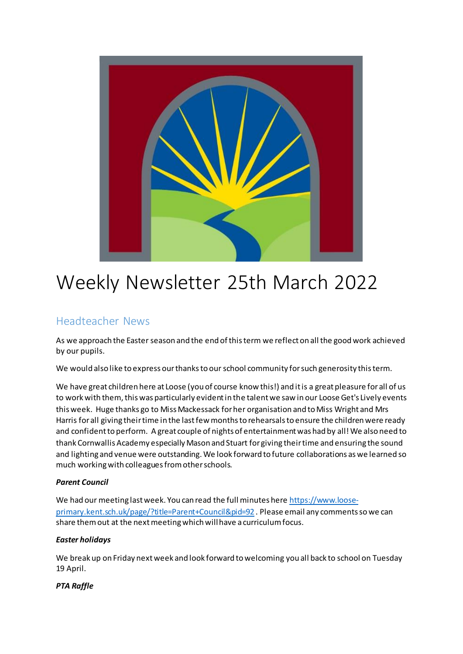

# Weekly Newsletter 25th March 2022

# Headteacher News

As we approach the Easter season and the end of this term we reflect on all the good work achieved by our pupils.

We would also like to express our thanks to our school community for such generosity this term.

We have great children here at Loose (you of course know this!) and it is a great pleasure for all of us to work with them, this was particularly evident in the talent we saw in our Loose Get's Lively events this week. Huge thanks go to Miss Mackessack for her organisation and to Miss Wright and Mrs Harris for all giving their time in the last few months to rehearsals to ensure the children were ready and confident to perform. A great couple of nights of entertainment was had by all! We also need to thank Cornwallis Academy especially Mason and Stuart for giving their time and ensuring the sound and lighting and venue were outstanding. We look forward to future collaborations as we learned so much working with colleagues from other schools.

#### *Parent Council*

We had our meeting last week. You can read the full minutes her[e https://www.loose](https://www.loose-primary.kent.sch.uk/page/?title=Parent+Council&pid=92)[primary.kent.sch.uk/page/?title=Parent+Council&pid=92](https://www.loose-primary.kent.sch.uk/page/?title=Parent+Council&pid=92) . Please email any comments so we can share them out at the next meeting which will have a curriculum focus.

#### *Easter holidays*

We break up on Friday next week and look forward to welcoming you all back to school on Tuesday 19 April.

#### *PTA Raffle*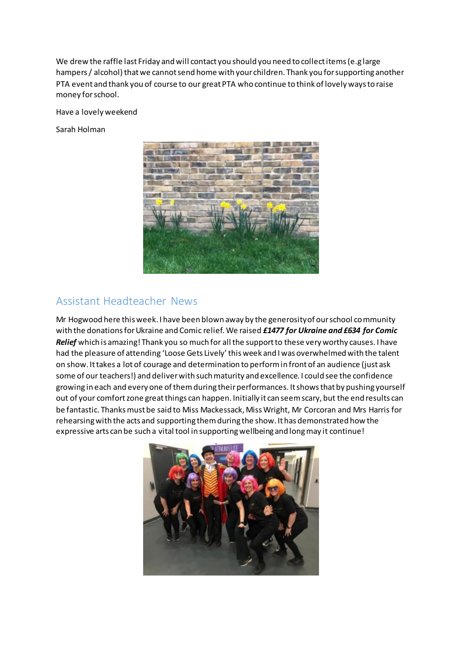We drew the raffle last Friday and will contact you should you need to collect items (e.g large hampers / alcohol) that we cannot send home with your children. Thank you for supporting another PTA event and thank you of course to our great PTA who continue to think of lovely ways to raise money for school.

Have a lovely weekend

Sarah Holman



### Assistant Headteacher News

Mr Hogwood here this week. I have been blown away by the generosity of our school community with the donations for Ukraine and Comic relief. We raised *£1477 for Ukraine and £634 for Comic Relief* which is amazing! Thank you so much for all the support to these very worthy causes. I have had the pleasure of attending 'Loose Gets Lively'this week and I was overwhelmed with the talent on show. It takes a lot of courage and determination to perform in front of an audience (just ask some of our teachers!) and deliver with such maturity and excellence. I could see the confidence growing in each and every one of them during their performances. It shows that by pushing yourself out of your comfort zone great things can happen. Initially it can seem scary, but the end results can be fantastic. Thanks must be said to Miss Mackessack, Miss Wright, Mr Corcoran and Mrs Harris for rehearsing with the acts and supporting them during the show. It has demonstrated how the expressive arts can be such a vital tool in supporting wellbeing and long may it continue!

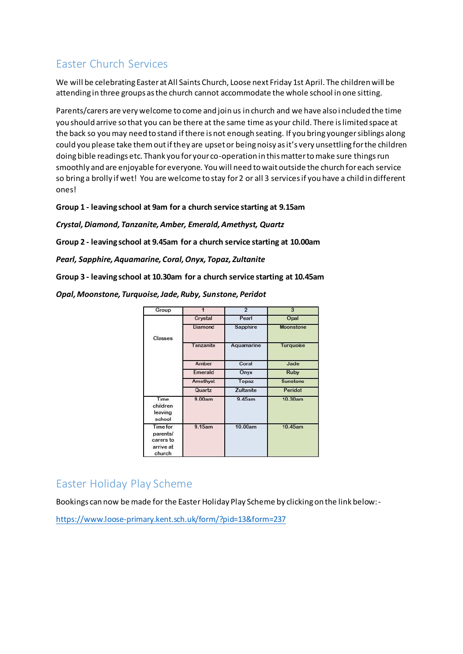# Easter Church Services

We will be celebrating Easter at All Saints Church, Loose next Friday 1st April. The children will be attending in three groups as the church cannot accommodate the whole school in one sitting.

Parents/carers are very welcome to come and join us in church and we have also included the time you should arrive so that you can be there at the same time as your child. There is limited space at the back so you may need to stand if there is not enough seating. If you bring younger siblings along could you please take them out if they are upset or being noisy as it's very unsettling for the children doing bible readings etc. Thank you for your co-operation in this matter to make sure things run smoothly and are enjoyable for everyone. You will need to wait outside the church for each service so bring a brolly if wet! You are welcome to stay for 2 or all 3 services if you have a child in different ones!

**Group 1 - leaving school at 9am for a church service starting at 9.15am**

*Crystal, Diamond, Tanzanite, Amber, Emerald, Amethyst, Quartz*

**Group 2 - leaving school at 9.45am for a church service starting at 10.00am**

*Pearl, Sapphire, Aquamarine, Coral, Onyx, Topaz, Zultanite*

**Group 3 - leaving school at 10.30am for a church service starting at 10.45am**

*Opal, Moonstone, Turquoise, Jade, Ruby, Sunstone, Peridot*

| Group                                                           |                | $\overline{2}$   | 3               |
|-----------------------------------------------------------------|----------------|------------------|-----------------|
|                                                                 | Crystal        | Pearl            | Opal            |
| Classes                                                         | <b>Diamond</b> | <b>Sapphire</b>  | Moonstone       |
|                                                                 | Tanzanite      | Aquamarine       | Turquoise       |
|                                                                 | Amber          | Coral            | Jade            |
|                                                                 | Emerald        | Onyx             | <b>Ruby</b>     |
|                                                                 | Amethyst       | Topaz            | <b>Sunstone</b> |
|                                                                 | Quartz         | <b>Zultanite</b> | Peridot         |
| Time<br>children<br>leaving<br>school                           | 9.00am         | 9.45am           | 10.30am         |
| <b>Time for</b><br>parents/<br>carers to<br>arrive at<br>church | $9.15$ am      | 10.00am          | 10.45am         |

# Easter Holiday Play Scheme

Bookings can now be made for the Easter Holiday Play Scheme by clicking on the link below:-

<https://www.loose-primary.kent.sch.uk/form/?pid=13&form=237>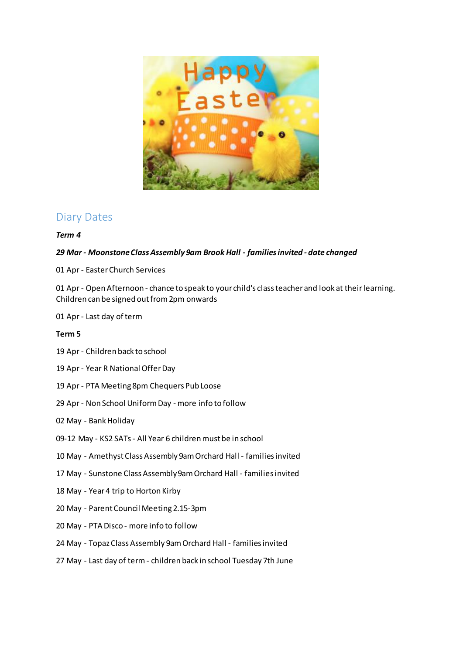

### Diary Dates

#### *Term 4*

#### *29 Mar - Moonstone Class Assembly 9am Brook Hall - families invited - date changed*

01 Apr - Easter Church Services

01 Apr - Open Afternoon - chance to speak to your child's class teacher and look at their learning. Children can be signed out from 2pm onwards

01 Apr - Last day of term

#### **Term 5**

- 19 Apr Children back to school
- 19 Apr Year R National Offer Day
- 19 Apr PTA Meeting 8pm Chequers Pub Loose
- 29 Apr Non School Uniform Day more info to follow
- 02 May Bank Holiday
- 09-12 May KS2 SATs All Year 6 children must be in school
- 10 May Amethyst Class Assembly 9am Orchard Hall families invited
- 17 May Sunstone Class Assembly 9am Orchard Hall families invited
- 18 May Year 4 trip to Horton Kirby
- 20 May Parent Council Meeting 2.15-3pm
- 20 May PTA Disco more info to follow
- 24 May Topaz Class Assembly 9am Orchard Hall families invited
- 27 May Last day of term children back in school Tuesday 7th June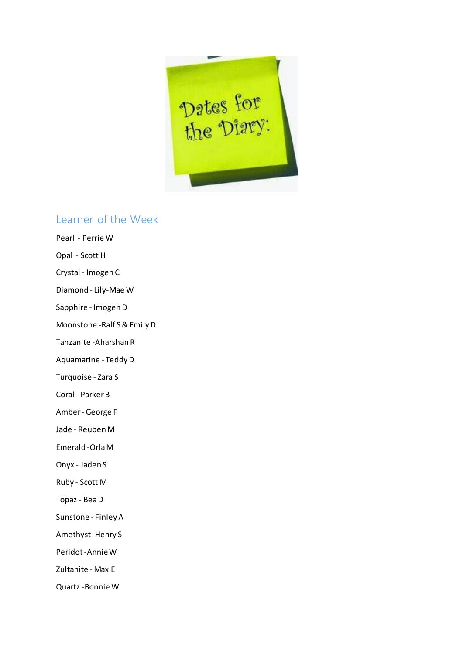

# Learner of the Week

Pearl - Perrie W Opal - Scott H Crystal - Imogen C Diamond - Lily-Mae W Sapphire - Imogen D Moonstone -Ralf S & Emily D Tanzanite -Aharshan R Aquamarine - Teddy D Turquoise - Zara S Coral - Parker B Amber - George F Jade - Reuben M Emerald -Orla M Onyx - Jaden S Ruby - Scott M Topaz - Bea D Sunstone - Finley A Amethyst -Henry S Peridot -Annie W Zultanite - Max E Quartz -Bonnie W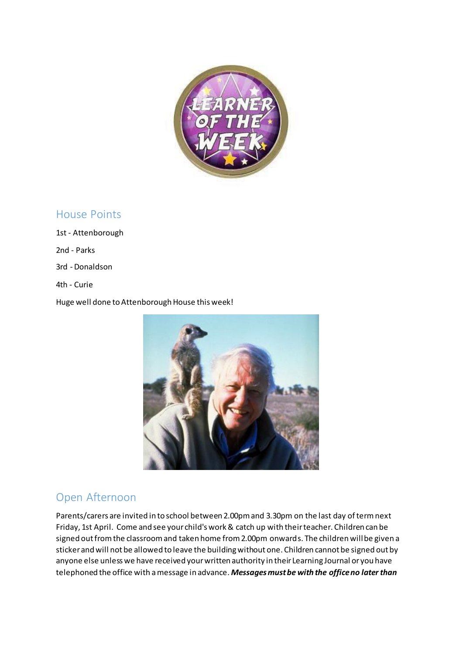

### House Points

1st - Attenborough 2nd - Parks

3rd - Donaldson

4th - Curie

Huge well done to Attenborough House this week!



# Open Afternoon

Parents/carers are invited in to school between 2.00pm and 3.30pm on the last day of term next Friday, 1st April. Come and see your child's work & catch up with their teacher. Children can be signed out from the classroom and taken home from 2.00pm onwards. The children will be given a sticker and will not be allowed to leave the building without one. Children cannot be signed out by anyone else unless we have received your written authority in their Learning Journal or you have telephoned the office with a message in advance. *Messages must be with the office no later than*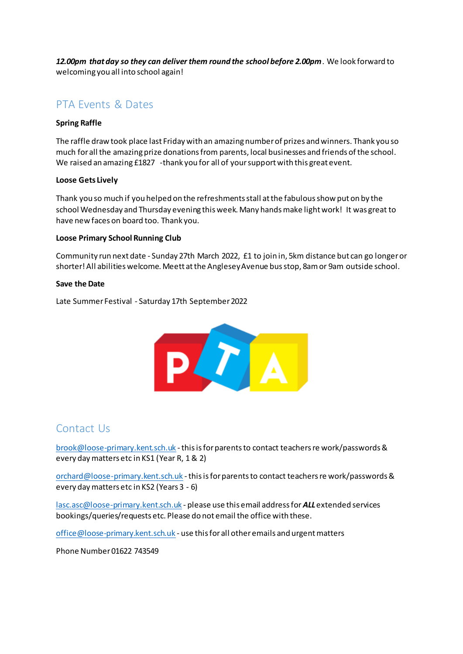*12.00pm that day so they can deliver them round the school before 2.00pm*. We look forward to welcoming you all into school again!

### PTA Events & Dates

#### **Spring Raffle**

The raffle draw took place last Friday with an amazing number of prizes and winners. Thank you so much for all the amazing prize donations from parents, local businesses and friends of the school. We raised an amazing £1827 -thank you for all of your support with this great event.

#### **Loose Gets Lively**

Thank you so much if you helped on the refreshments stall at the fabulous show put on by the school Wednesday and Thursday evening this week. Many hands make light work! It was great to have new faces on board too. Thank you.

#### **Loose Primary School Running Club**

Community run next date - Sunday 27th March 2022, £1 to join in, 5km distance but can go longer or shorter! All abilities welcome. Meett at the Anglesey Avenue bus stop, 8am or 9am outside school.

#### **Save the Date**

Late Summer Festival - Saturday 17th September 2022



### Contact Us

[brook@loose-primary.kent.sch.uk](mailto:brook@loose-primary.kent.sch.uk) - this is for parents to contact teachers re work/passwords & every day matters etc in KS1 (Year R, 1 & 2)

[orchard@loose-primary.kent.sch.uk](mailto:orchard@loose-primary.kent.sch.uk) - this is for parents to contact teachers re work/passwords & every day matters etc in KS2 (Years 3 - 6)

[lasc.asc@loose-primary.kent.sch.uk](mailto:lasc.asc@loose-primary.kent.sch.uk) - please use this email address for *ALL*extended services bookings/queries/requests etc. Please do not email the office with these.

[office@loose-primary.kent.sch.uk](mailto:office@loose-primary.kent.sch.uk) - use this for all other emails and urgent matters

Phone Number 01622 743549